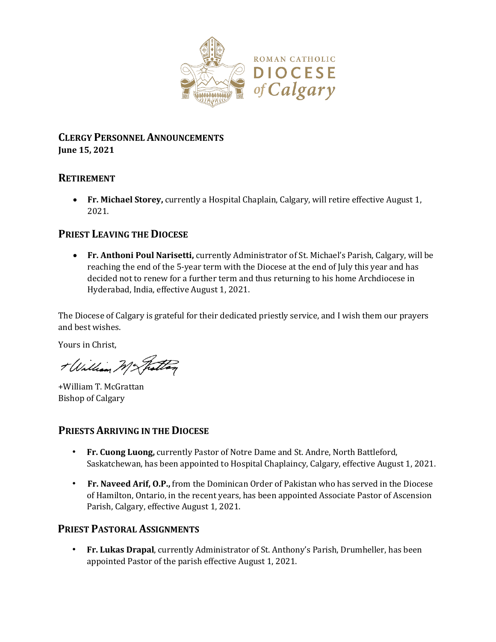

#### **CLERGY PERSONNEL ANNOUNCEMENTS June 15, 2021**

### **RETIREMENT**

 **Fr. Michael Storey,** currently a Hospital Chaplain, Calgary, will retire effective August 1, 2021.

# **PRIEST LEAVING THE DIOCESE**

 **Fr. Anthoni Poul Narisetti,** currently Administrator of St. Michael's Parish, Calgary, will be reaching the end of the 5-year term with the Diocese at the end of July this year and has decided not to renew for a further term and thus returning to his home Archdiocese in Hyderabad, India, effective August 1, 2021.

The Diocese of Calgary is grateful for their dedicated priestly service, and I wish them our prayers and best wishes.

Yours in Christ,

+ William Mc Fattag

+William T. McGrattan Bishop of Calgary

### **PRIESTS ARRIVING IN THE DIOCESE**

- **Fr. Cuong Luong,** currently Pastor of Notre Dame and St. Andre, North Battleford, Saskatchewan, has been appointed to Hospital Chaplaincy, Calgary, effective August 1, 2021.
- **Fr. Naveed Arif, O.P.,** from the Dominican Order of Pakistan who has served in the Diocese of Hamilton, Ontario, in the recent years, has been appointed Associate Pastor of Ascension Parish, Calgary, effective August 1, 2021.

# **PRIEST PASTORAL ASSIGNMENTS**

• **Fr. Lukas Drapal**, currently Administrator of St. Anthony's Parish, Drumheller, has been appointed Pastor of the parish effective August 1, 2021.